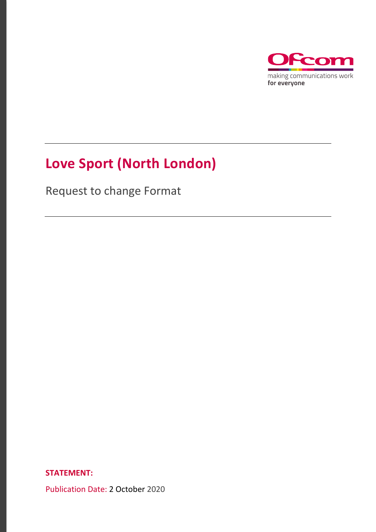

# **Love Sport (North London)**

Request to change Format

**STATEMENT:** 

Publication Date: 2 October 2020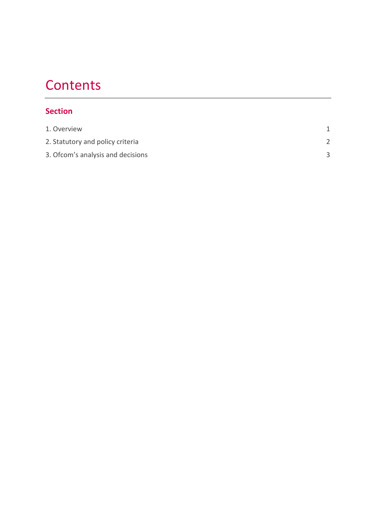## **Contents**

### **Section**

| 1. Overview                       |  |
|-----------------------------------|--|
| 2. Statutory and policy criteria  |  |
| 3. Ofcom's analysis and decisions |  |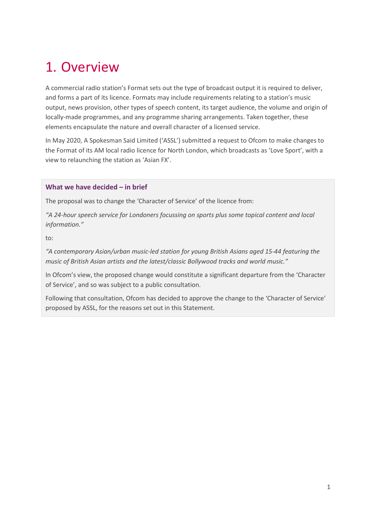## <span id="page-2-0"></span>1. Overview

A commercial radio station's Format sets out the type of broadcast output it is required to deliver, and forms a part of its licence. Formats may include requirements relating to a station's music output, news provision, other types of speech content, its target audience, the volume and origin of locally-made programmes, and any programme sharing arrangements. Taken together, these elements encapsulate the nature and overall character of a licensed service.

In May 2020, A Spokesman Said Limited ('ASSL') submitted a request to Ofcom to make changes to the Format of its AM local radio licence for North London, which broadcasts as 'Love Sport', with a view to relaunching the station as 'Asian FX'.

#### **What we have decided – in brief**

The proposal was to change the 'Character of Service' of the licence from:

*"A 24-hour speech service for Londoners focussing on sports plus some topical content and local information."* 

to:

*"A contemporary Asian/urban music-led station for young British Asians aged 15-44 featuring the music of British Asian artists and the latest/classic Bollywood tracks and world music."* 

In Ofcom's view, the proposed change would constitute a significant departure from the 'Character of Service', and so was subject to a public consultation.

Following that consultation, Ofcom has decided to approve the change to the 'Character of Service' proposed by ASSL, for the reasons set out in this Statement.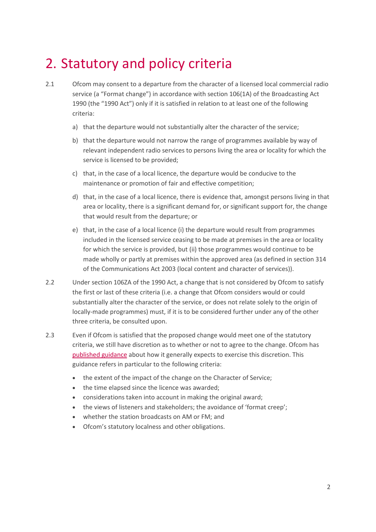## <span id="page-3-0"></span>2. Statutory and policy criteria

- 2.1 Ofcom may consent to a departure from the character of a licensed local commercial radio service (a "Format change") in accordance with section 106(1A) of the Broadcasting Act 1990 (the "1990 Act") only if it is satisfied in relation to at least one of the following criteria:
	- a) that the departure would not substantially alter the character of the service;
	- b) that the departure would not narrow the range of programmes available by way of relevant independent radio services to persons living the area or locality for which the service is licensed to be provided;
	- c) that, in the case of a local licence, the departure would be conducive to the maintenance or promotion of fair and effective competition;
	- d) that, in the case of a local licence, there is evidence that, amongst persons living in that area or locality, there is a significant demand for, or significant support for, the change that would result from the departure; or
	- e) that, in the case of a local licence (i) the departure would result from programmes included in the licensed service ceasing to be made at premises in the area or locality for which the service is provided, but (ii) those programmes would continue to be made wholly or partly at premises within the approved area (as defined in section 314 of the Communications Act 2003 (local content and character of services)).
- 2.2 Under section 106ZA of the 1990 Act, a change that is not considered by Ofcom to satisfy the first or last of these criteria (i.e. a change that Ofcom considers would or could substantially alter the character of the service, or does not relate solely to the origin of locally-made programmes) must, if it is to be considered further under any of the other three criteria, be consulted upon.
- 2.3 Even if Ofcom is satisfied that the proposed change would meet one of the statutory criteria, we still have discretion as to whether or not to agree to the change. Ofcom has [published guidance](https://www.ofcom.org.uk/__data/assets/pdf_file/0024/87405/The-regulation-of-Format-changes.pdf) about how it generally expects to exercise this discretion. This guidance refers in particular to the following criteria:
	- the extent of the impact of the change on the Character of Service;
	- the time elapsed since the licence was awarded;
	- considerations taken into account in making the original award;
	- the views of listeners and stakeholders; the avoidance of 'format creep';
	- whether the station broadcasts on AM or FM; and
	- Ofcom's statutory localness and other obligations.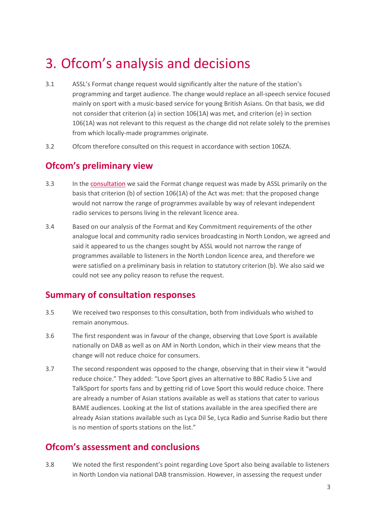### <span id="page-4-0"></span>3. Ofcom's analysis and decisions

- 3.1 ASSL's Format change request would significantly alter the nature of the station's programming and target audience. The change would replace an all-speech service focused mainly on sport with a music-based service for young British Asians. On that basis, we did not consider that criterion (a) in section 106(1A) was met, and criterion (e) in section 106(1A) was not relevant to this request as the change did not relate solely to the premises from which locally-made programmes originate.
- 3.2 Ofcom therefore consulted on this request in accordance with section 106ZA.

### **Ofcom's preliminary view**

- 3.3 In the [consultation](https://www.ofcom.org.uk/__data/assets/pdf_file/0015/200553/consultation-love-sport-north-london-format-change-request.pdf) we said the Format change request was made by ASSL primarily on the basis that criterion (b) of section 106(1A) of the Act was met: that the proposed change would not narrow the range of programmes available by way of relevant independent radio services to persons living in the relevant licence area.
- 3.4 Based on our analysis of the Format and Key Commitment requirements of the other analogue local and community radio services broadcasting in North London, we agreed and said it appeared to us the changes sought by ASSL would not narrow the range of programmes available to listeners in the North London licence area, and therefore we were satisfied on a preliminary basis in relation to statutory criterion (b). We also said we could not see any policy reason to refuse the request.

### **Summary of consultation responses**

- 3.5 We received two responses to this consultation, both from individuals who wished to remain anonymous.
- 3.6 The first respondent was in favour of the change, observing that Love Sport is available nationally on DAB as well as on AM in North London, which in their view means that the change will not reduce choice for consumers.
- 3.7 The second respondent was opposed to the change, observing that in their view it "would reduce choice." They added: "Love Sport gives an alternative to BBC Radio 5 Live and TalkSport for sports fans and by getting rid of Love Sport this would reduce choice. There are already a number of Asian stations available as well as stations that cater to various BAME audiences. Looking at the list of stations available in the area specified there are already Asian stations available such as Lyca Dil Se, Lyca Radio and Sunrise Radio but there is no mention of sports stations on the list."

### **Ofcom's assessment and conclusions**

3.8 We noted the first respondent's point regarding Love Sport also being available to listeners in North London via national DAB transmission. However, in assessing the request under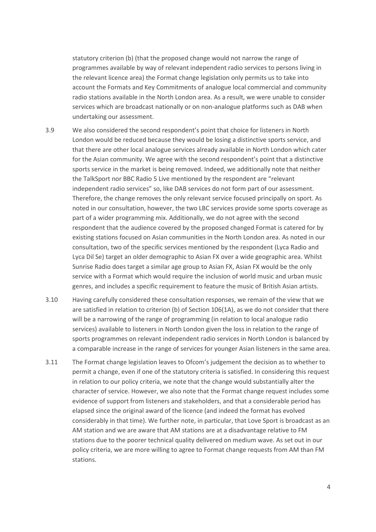statutory criterion (b) (that the proposed change would not narrow the range of programmes available by way of relevant independent radio services to persons living in the relevant licence area) the Format change legislation only permits us to take into account the Formats and Key Commitments of analogue local commercial and community radio stations available in the North London area. As a result, we were unable to consider services which are broadcast nationally or on non-analogue platforms such as DAB when undertaking our assessment.

- 3.9 We also considered the second respondent's point that choice for listeners in North London would be reduced because they would be losing a distinctive sports service, and that there are other local analogue services already available in North London which cater for the Asian community. We agree with the second respondent's point that a distinctive sports service in the market is being removed. Indeed, we additionally note that neither the TalkSport nor BBC Radio 5 Live mentioned by the respondent are "relevant independent radio services" so, like DAB services do not form part of our assessment. Therefore, the change removes the only relevant service focused principally on sport. As noted in our consultation, however, the two LBC services provide some sports coverage as part of a wider programming mix. Additionally, we do not agree with the second respondent that the audience covered by the proposed changed Format is catered for by existing stations focused on Asian communities in the North London area. As noted in our consultation, two of the specific services mentioned by the respondent (Lyca Radio and Lyca Dil Se) target an older demographic to Asian FX over a wide geographic area. Whilst Sunrise Radio does target a similar age group to Asian FX, Asian FX would be the only service with a Format which would require the inclusion of world music and urban music genres, and includes a specific requirement to feature the music of British Asian artists.
- 3.10 Having carefully considered these consultation responses, we remain of the view that we are satisfied in relation to criterion (b) of Section 106(1A), as we do not consider that there will be a narrowing of the range of programming (in relation to local analogue radio services) available to listeners in North London given the loss in relation to the range of sports programmes on relevant independent radio services in North London is balanced by a comparable increase in the range of services for younger Asian listeners in the same area.
- 3.11 The Format change legislation leaves to Ofcom's judgement the decision as to whether to permit a change, even if one of the statutory criteria is satisfied. In considering this request in relation to our policy criteria, we note that the change would substantially alter the character of service. However, we also note that the Format change request includes some evidence of support from listeners and stakeholders, and that a considerable period has elapsed since the original award of the licence (and indeed the format has evolved considerably in that time). We further note, in particular, that Love Sport is broadcast as an AM station and we are aware that AM stations are at a disadvantage relative to FM stations due to the poorer technical quality delivered on medium wave. As set out in our policy criteria, we are more willing to agree to Format change requests from AM than FM stations.